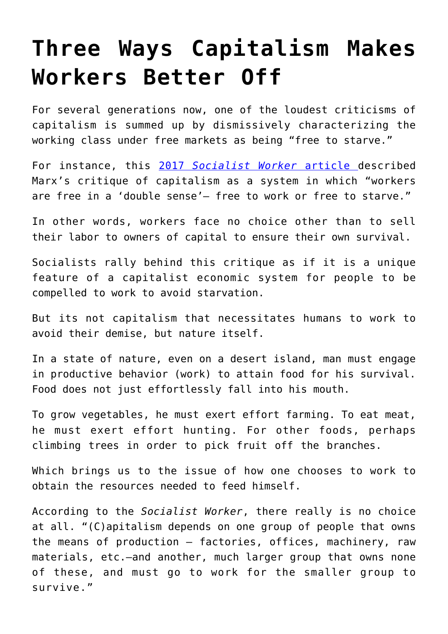## **[Three Ways Capitalism Makes](https://intellectualtakeout.org/2019/06/three-ways-capitalism-makes-workers-better-off/) [Workers Better Off](https://intellectualtakeout.org/2019/06/three-ways-capitalism-makes-workers-better-off/)**

For several generations now, one of the loudest criticisms of capitalism is summed up by dismissively characterizing the working class under free markets as being "free to starve."

For instance, this [2017](https://socialistworker.org/2017/06/14/how-free-is-free-labor) *[Socialist Worker](https://socialistworker.org/2017/06/14/how-free-is-free-labor)* [article d](https://socialistworker.org/2017/06/14/how-free-is-free-labor)escribed Marx's critique of capitalism as a system in which "workers are free in a 'double sense'— free to work or free to starve."

In other words, workers face no choice other than to sell their labor to owners of capital to ensure their own survival.

Socialists rally behind this critique as if it is a unique feature of a capitalist economic system for people to be compelled to work to avoid starvation.

But its not capitalism that necessitates humans to work to avoid their demise, but nature itself.

In a state of nature, even on a desert island, man must engage in productive behavior (work) to attain food for his survival. Food does not just effortlessly fall into his mouth.

To grow vegetables, he must exert effort farming. To eat meat, he must exert effort hunting. For other foods, perhaps climbing trees in order to pick fruit off the branches.

Which brings us to the issue of how one chooses to work to obtain the resources needed to feed himself.

According to the *Socialist Worker*, there really is no choice at all. "(C)apitalism depends on one group of people that owns the means of production — factories, offices, machinery, raw materials, etc.—and another, much larger group that owns none of these, and must go to work for the smaller group to survive."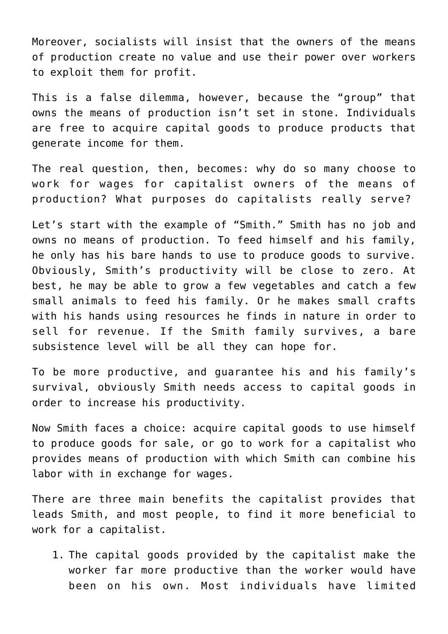Moreover, socialists will insist that the owners of the means of production create no value and use their power over workers to exploit them for profit.

This is a false dilemma, however, because the "group" that owns the means of production isn't set in stone. Individuals are free to acquire capital goods to produce products that generate income for them.

The real question, then, becomes: why do so many choose to work for wages for capitalist owners of the means of production? What purposes do capitalists really serve?

Let's start with the example of "Smith." Smith has no job and owns no means of production. To feed himself and his family, he only has his bare hands to use to produce goods to survive. Obviously, Smith's productivity will be close to zero. At best, he may be able to grow a few vegetables and catch a few small animals to feed his family. Or he makes small crafts with his hands using resources he finds in nature in order to sell for revenue. If the Smith family survives, a bare subsistence level will be all they can hope for.

To be more productive, and guarantee his and his family's survival, obviously Smith needs access to capital goods in order to increase his productivity.

Now Smith faces a choice: acquire capital goods to use himself to produce goods for sale, or go to work for a capitalist who provides means of production with which Smith can combine his labor with in exchange for wages.

There are three main benefits the capitalist provides that leads Smith, and most people, to find it more beneficial to work for a capitalist.

1. The capital goods provided by the capitalist make the worker far more productive than the worker would have been on his own. Most individuals have limited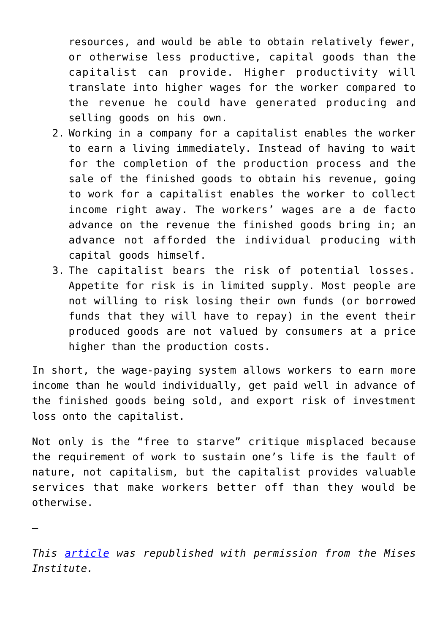resources, and would be able to obtain relatively fewer, or otherwise less productive, capital goods than the capitalist can provide. Higher productivity will translate into higher wages for the worker compared to the revenue he could have generated producing and selling goods on his own.

- 2. Working in a company for a capitalist enables the worker to earn a living immediately. Instead of having to wait for the completion of the production process and the sale of the finished goods to obtain his revenue, going to work for a capitalist enables the worker to collect income right away. The workers' wages are a de facto advance on the revenue the finished goods bring in; an advance not afforded the individual producing with capital goods himself.
- 3. The capitalist bears the risk of potential losses. Appetite for risk is in limited supply. Most people are not willing to risk losing their own funds (or borrowed funds that they will have to repay) in the event their produced goods are not valued by consumers at a price higher than the production costs.

In short, the wage-paying system allows workers to earn more income than he would individually, get paid well in advance of the finished goods being sold, and export risk of investment loss onto the capitalist.

Not only is the "free to starve" critique misplaced because the requirement of work to sustain one's life is the fault of nature, not capitalism, but the capitalist provides valuable services that make workers better off than they would be otherwise.

*This [article](https://mises.org/wire/three-ways-capitalists-make-workers-better) was republished with permission from the Mises Institute.*

—